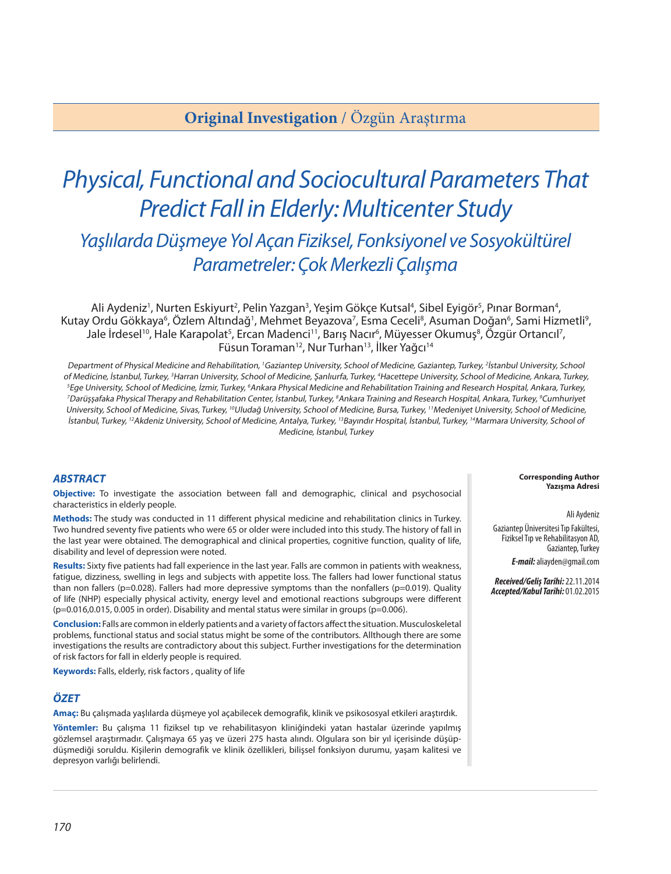## **Original Investigation** / Özgün Araştırma

# *Physical, Functional and Sociocultural Parameters That Predict Fall in Elderly: Multicenter Study Yaşlılarda Düşmeye Yol Açan Fiziksel, Fonksiyonel ve Sosyokültürel Parametreler: Çok Merkezli Çalışma*

Ali Aydeniz<sup>1</sup>, Nurten Eskiyurt<sup>2</sup>, Pelin Yazgan<sup>3</sup>, Yeşim Gökçe Kutsal<sup>4</sup>, Sibel Eyigör<sup>s</sup>, Pınar Borman<sup>4</sup>, Kutay Ordu Gökkaya<sup>6</sup>, Özlem Altındağ<sup>ı</sup>, Mehmet Beyazova<sup>7</sup>, Esma Ceceli<sup>8</sup>, Asuman Doğan<sup>6</sup>, Sami Hizmetli<sup>9</sup>, Jale İrdesel<sup>10</sup>, Hale Karapolat<sup>5</sup>, Ercan Madenci<sup>11</sup>, Barış Nacır<sup>6</sup>, Müyesser Okumuş<sup>8</sup>, Özgür Ortancıl<sup>7</sup>, Füsun Toraman<sup>12</sup>, Nur Turhan<sup>13</sup>, İlker Yağcı<sup>14</sup>

Department of Physical Medicine and Rehabilitation, <sup>1</sup>Gaziantep University, School of Medicine, Gaziantep, Turkey, <sup>2</sup>İstanbul University, School of Medicine, İstanbul, Turkey, 3Harran University, School of Medicine, Şanlıurfa, Turkey, 4Hacettepe University, School of Medicine, Ankara, Turkey, 5Ege University, School of Medicine, İzmir, Turkey, 6Ankara Physical Medicine and Rehabilitation Training and Research Hospital, Ankara, Turkey, <sup>7</sup>Darüşşafaka Physical Therapy and Rehabilitation Center, İstanbul, Turkey, <sup>8</sup>Ankara Training and Research Hospital, Ankara, Turkey, <sup>9</sup>Cumhuriyet University, School of Medicine, Sivas, Turkey, <sup>10</sup>Uludağ University, School of Medicine, Bursa, Turkey, <sup>11</sup>Medeniyet University, School of Medicine, İstanbul, Turkey, <sup>12</sup>Akdeniz University, School of Medicine, Antalya, Turkey, <sup>13</sup>Bayındır Hospital, İstanbul, Turkey, <sup>14</sup>Marmara University, School of Medicine, İstanbul, Turkey

#### *ABSTRACT*

**Objective:** To investigate the association between fall and demographic, clinical and psychosocial characteristics in elderly people.

**Methods:** The study was conducted in 11 different physical medicine and rehabilitation clinics in Turkey. Two hundred seventy five patients who were 65 or older were included into this study. The history of fall in the last year were obtained. The demographical and clinical properties, cognitive function, quality of life, disability and level of depression were noted.

**Results:** Sixty five patients had fall experience in the last year. Falls are common in patients with weakness, fatigue, dizziness, swelling in legs and subjects with appetite loss. The fallers had lower functional status than non fallers (p=0.028). Fallers had more depressive symptoms than the nonfallers (p=0.019). Quality of life (NHP) especially physical activity, energy level and emotional reactions subgroups were different (p=0.016,0.015, 0.005 in order). Disability and mental status were similar in groups (p=0.006).

**Conclusion:** Falls are common in elderly patients and a variety of factors affect the situation. Musculoskeletal problems, functional status and social status might be some of the contributors. Allthough there are some investigations the results are contradictory about this subject. Further investigations for the determination of risk factors for fall in elderly people is required.

**Keywords:** Falls, elderly, risk factors , quality of life

#### *ÖZET*

**Amaç:** Bu çalışmada yaşlılarda düşmeye yol açabilecek demografik, klinik ve psikososyal etkileri araştırdık.

**Yöntemler:** Bu çalışma 11 fiziksel tıp ve rehabilitasyon kliniğindeki yatan hastalar üzerinde yapılmış gözlemsel araştırmadır. Çalışmaya 65 yaş ve üzeri 275 hasta alındı. Olgulara son bir yıl içerisinde düşüpdüşmediği soruldu. Kişilerin demografik ve klinik özellikleri, bilişsel fonksiyon durumu, yaşam kalitesi ve depresyon varlığı belirlendi.

**Corresponding Author Yazışma Adresi**

Ali Aydeniz

Gaziantep Üniversitesi Tıp Fakültesi, Fiziksel Tıp ve Rehabilitasyon AD, Gaziantep, Turkey

*E-mail:* aliayden@gmail.com

*Received/Geliş Tarihi:* 22.11.2014 *Accepted/Kabul Tarihi:* 01.02.2015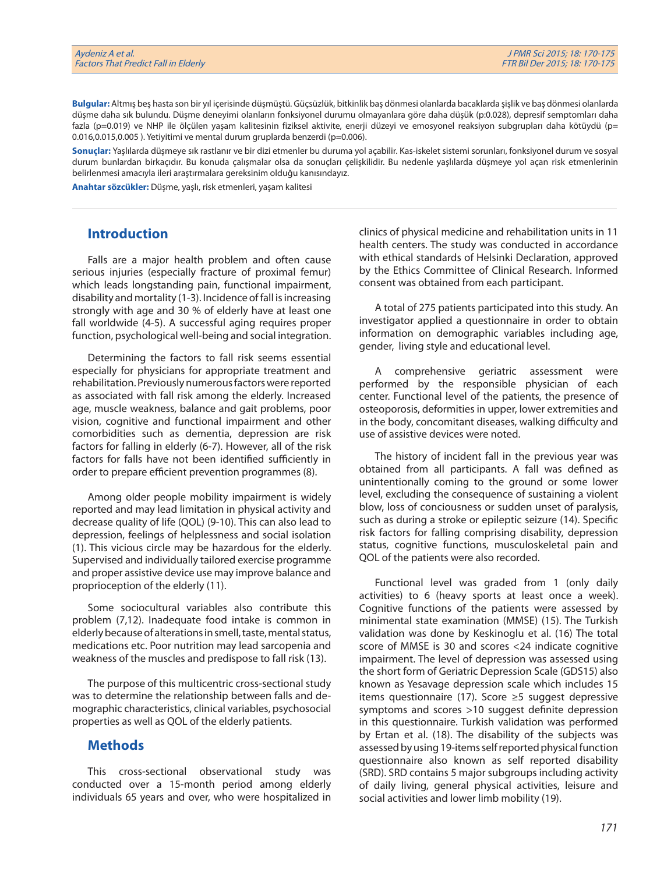**Bulgular:** Altmış beş hasta son bir yıl içerisinde düşmüştü. Güçsüzlük, bitkinlik baş dönmesi olanlarda bacaklarda şişlik ve baş dönmesi olanlarda düşme daha sık bulundu. Düşme deneyimi olanların fonksiyonel durumu olmayanlara göre daha düşük (p:0.028), depresif semptomları daha fazla (p=0.019) ve NHP ile ölçülen yaşam kalitesinin fiziksel aktivite, enerji düzeyi ve emosyonel reaksiyon subgrupları daha kötüydü (p= 0.016,0.015,0.005). Yetiyitimi ve mental durum gruplarda benzerdi (p=0.006).

**Sonuçlar:** Yaşlılarda düşmeye sık rastlanır ve bir dizi etmenler bu duruma yol açabilir. Kas-iskelet sistemi sorunları, fonksiyonel durum ve sosyal durum bunlardan birkaçıdır. Bu konuda çalışmalar olsa da sonuçları çelişkilidir. Bu nedenle yaşlılarda düşmeye yol açan risk etmenlerinin belirlenmesi amacıyla ileri araştırmalara gereksinim olduğu kanısındayız.

**Anahtar sözcükler:** Düşme, yaşlı, risk etmenleri, yaşam kalitesi

#### **Introduction**

Falls are a major health problem and often cause serious injuries (especially fracture of proximal femur) which leads longstanding pain, functional impairment, disability and mortality (1-3). Incidence of fall is increasing strongly with age and 30 % of elderly have at least one fall worldwide (4-5). A successful aging requires proper function, psychological well-being and social integration.

Determining the factors to fall risk seems essential especially for physicians for appropriate treatment and rehabilitation. Previously numerous factors were reported as associated with fall risk among the elderly. Increased age, muscle weakness, balance and gait problems, poor vision, cognitive and functional impairment and other comorbidities such as dementia, depression are risk factors for falling in elderly (6-7). However, all of the risk factors for falls have not been identified sufficiently in order to prepare efficient prevention programmes (8).

Among older people mobility impairment is widely reported and may lead limitation in physical activity and decrease quality of life (QOL) (9-10). This can also lead to depression, feelings of helplessness and social isolation (1). This vicious circle may be hazardous for the elderly. Supervised and individually tailored exercise programme and proper assistive device use may improve balance and proprioception of the elderly (11).

Some sociocultural variables also contribute this problem (7,12). Inadequate food intake is common in elderly because of alterations in smell, taste, mental status, medications etc. Poor nutrition may lead sarcopenia and weakness of the muscles and predispose to fall risk (13).

The purpose of this multicentric cross-sectional study was to determine the relationship between falls and demographic characteristics, clinical variables, psychosocial properties as well as QOL of the elderly patients.

### **Methods**

This cross-sectional observational study was conducted over a 15-month period among elderly individuals 65 years and over, who were hospitalized in clinics of physical medicine and rehabilitation units in 11 health centers. The study was conducted in accordance with ethical standards of Helsinki Declaration, approved by the Ethics Committee of Clinical Research. Informed consent was obtained from each participant.

A total of 275 patients participated into this study. An investigator applied a questionnaire in order to obtain information on demographic variables including age, gender, living style and educational level.

A comprehensive geriatric assessment were performed by the responsible physician of each center. Functional level of the patients, the presence of osteoporosis, deformities in upper, lower extremities and in the body, concomitant diseases, walking difficulty and use of assistive devices were noted.

The history of incident fall in the previous year was obtained from all participants. A fall was defined as unintentionally coming to the ground or some lower level, excluding the consequence of sustaining a violent blow, loss of conciousness or sudden unset of paralysis, such as during a stroke or epileptic seizure (14). Specific risk factors for falling comprising disability, depression status, cognitive functions, musculoskeletal pain and QOL of the patients were also recorded.

Functional level was graded from 1 (only daily activities) to 6 (heavy sports at least once a week). Cognitive functions of the patients were assessed by minimental state examination (MMSE) (15). The Turkish validation was done by Keskinoglu et al. (16) The total score of MMSE is 30 and scores <24 indicate cognitive impairment. The level of depression was assessed using the short form of Geriatric Depression Scale (GDS15) also known as Yesavage depression scale which includes 15 items questionnaire (17). Score ≥5 suggest depressive symptoms and scores >10 suggest definite depression in this questionnaire. Turkish validation was performed by Ertan et al. (18). The disability of the subjects was assessed by using 19-items self reported physical function questionnaire also known as self reported disability (SRD). SRD contains 5 major subgroups including activity of daily living, general physical activities, leisure and social activities and lower limb mobility (19).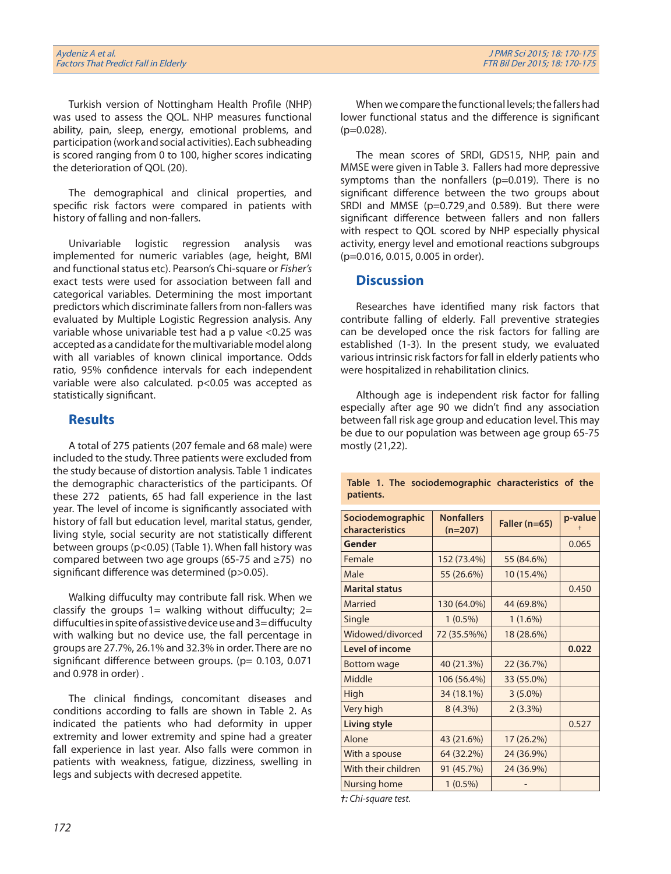Turkish version of Nottingham Health Profile (NHP) was used to assess the QOL. NHP measures functional ability, pain, sleep, energy, emotional problems, and participation (work and social activities). Each subheading is scored ranging from 0 to 100, higher scores indicating the deterioration of QOL (20).

The demographical and clinical properties, and specific risk factors were compared in patients with history of falling and non-fallers.

Univariable logistic regression analysis was implemented for numeric variables (age, height, BMI and functional status etc). Pearson's Chi-square or *Fisher's* exact tests were used for association between fall and categorical variables. Determining the most important predictors which discriminate fallers from non-fallers was evaluated by Multiple Logistic Regression analysis. Any variable whose univariable test had a p value <0.25 was accepted as a candidate for the multivariable model along with all variables of known clinical importance. Odds ratio, 95% confidence intervals for each independent variable were also calculated. p<0.05 was accepted as statistically significant.

### **Results**

A total of 275 patients (207 female and 68 male) were included to the study. Three patients were excluded from the study because of distortion analysis. Table 1 indicates the demographic characteristics of the participants. Of these 272 patients, 65 had fall experience in the last year. The level of income is significantly associated with history of fall but education level, marital status, gender, living style, social security are not statistically different between groups (p<0.05) (Table 1). When fall history was compared between two age groups (65-75 and ≥75) no significant difference was determined (p>0.05).

Walking diffuculty may contribute fall risk. When we classify the groups  $1=$  walking without diffuculty;  $2=$ diffuculties in spite of assistive device use and 3= diffuculty with walking but no device use, the fall percentage in groups are 27.7%, 26.1% and 32.3% in order. There are no significant difference between groups. ( $p= 0.103$ , 0.071 and 0.978 in order) .

The clinical findings, concomitant diseases and conditions according to falls are shown in Table 2. As indicated the patients who had deformity in upper extremity and lower extremity and spine had a greater fall experience in last year. Also falls were common in patients with weakness, fatigue, dizziness, swelling in legs and subjects with decresed appetite.

When we compare the functional levels; the fallers had lower functional status and the difference is significant (p=0.028).

The mean scores of SRDI, GDS15, NHP, pain and MMSE were given in Table 3.Fallers had more depressive symptoms than the nonfallers (p=0.019). There is no significant difference between the two groups about SRDI and MMSE (p=0.729¸and 0.589). But there were significant difference between fallers and non fallers with respect to QOL scored by NHP especially physical activity, energy level and emotional reactions subgroups (p=0.016, 0.015, 0.005 in order).

### **Discussion**

Researches have identified many risk factors that contribute falling of elderly. Fall preventive strategies can be developed once the risk factors for falling are established (1-3). In the present study, we evaluated various intrinsic risk factors for fall in elderly patients who were hospitalized in rehabilitation clinics.

Although age is independent risk factor for falling especially after age 90 we didn't find any association between fall risk age group and education level. This may be due to our population was between age group 65-75 mostly (21,22).

**Table 1. The sociodemographic characteristics of the patients.**

| Sociodemographic<br>characteristics | <b>Nonfallers</b><br>$(n=207)$ | Faller (n=65) | p-value |
|-------------------------------------|--------------------------------|---------------|---------|
| Gender                              |                                |               | 0.065   |
| Female                              | 152 (73.4%)                    | 55 (84.6%)    |         |
| Male                                | 55 (26.6%)                     | 10 (15.4%)    |         |
| <b>Marital status</b>               |                                |               | 0.450   |
| Married                             | 130 (64.0%)                    | 44 (69.8%)    |         |
| Single                              | $1(0.5\%)$                     | $1(1.6\%)$    |         |
| Widowed/divorced                    | 72 (35.5%%)                    | 18 (28.6%)    |         |
| Level of income                     |                                |               | 0.022   |
| Bottom wage                         | 40 (21.3%)                     | 22 (36.7%)    |         |
| Middle                              | 106 (56.4%)                    | 33 (55.0%)    |         |
| High                                | 34 (18.1%)                     | $3(5.0\%)$    |         |
| Very high                           | $8(4.3\%)$                     | 2(3.3%)       |         |
| <b>Living style</b>                 |                                |               | 0.527   |
| Alone                               | 43 (21.6%)                     | 17 (26.2%)    |         |
| With a spouse                       | 64 (32.2%)                     | 24 (36.9%)    |         |
| With their children                 | 91 (45.7%)                     | 24 (36.9%)    |         |
| Nursing home                        | $1(0.5\%)$                     |               |         |

*†: Chi-square test.*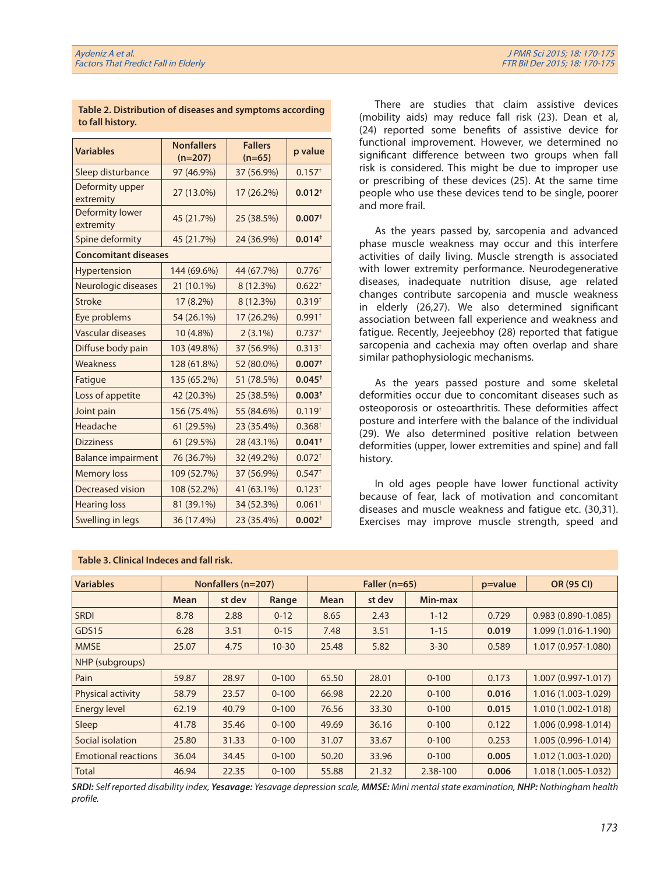| <b>Variables</b>             | <b>Nonfallers</b> | <b>Fallers</b> | p value              |  |  |  |  |
|------------------------------|-------------------|----------------|----------------------|--|--|--|--|
|                              | $(n=207)$         | $(n=65)$       |                      |  |  |  |  |
| Sleep disturbance            | 97 (46.9%)        | 37 (56.9%)     | $0.157$ <sup>+</sup> |  |  |  |  |
| Deformity upper<br>extremity | 27 (13.0%)        | 17 (26.2%)     | $0.012^{+}$          |  |  |  |  |
| Deformity lower<br>extremity | 45 (21.7%)        | 25 (38.5%)     | 0.007 <sup>†</sup>   |  |  |  |  |
| Spine deformity              | 45 (21.7%)        | $0.014^{+}$    |                      |  |  |  |  |
| <b>Concomitant diseases</b>  |                   |                |                      |  |  |  |  |
| Hypertension                 | 144 (69.6%)       | 44 (67.7%)     | $0.776^{+}$          |  |  |  |  |
| Neurologic diseases          | 21 (10.1%)        | 8 (12.3%)      | $0.622^{+}$          |  |  |  |  |
| <b>Stroke</b>                | 17 (8.2%)         | 8 (12.3%)      | $0.319^{+}$          |  |  |  |  |
| Eye problems                 | 54 (26.1%)        | 17 (26.2%)     | $0.991+$             |  |  |  |  |
| Vascular diseases            | 10 (4.8%)         | $2(3.1\%)$     | 0.737 <sup>‡</sup>   |  |  |  |  |
| Diffuse body pain            | 103 (49.8%)       | 37 (56.9%)     | $0.313^{+}$          |  |  |  |  |
| Weakness                     | 128 (61.8%)       | 52 (80.0%)     | $0.007$ <sup>+</sup> |  |  |  |  |
| Fatigue                      | 135 (65.2%)       | 51 (78.5%)     | $0.045^{+}$          |  |  |  |  |
| Loss of appetite             | 42 (20.3%)        | 25 (38.5%)     | $0.003+$             |  |  |  |  |
| Joint pain                   | 156 (75.4%)       | 55 (84.6%)     | $0.119^{+}$          |  |  |  |  |
| Headache                     | 61 (29.5%)        | 23 (35.4%)     | 0.368 <sup>†</sup>   |  |  |  |  |
| <b>Dizziness</b>             | 61 (29.5%)        | 28 (43.1%)     | $0.041$ <sup>+</sup> |  |  |  |  |
| <b>Balance impairment</b>    | 76 (36.7%)        | 32 (49.2%)     | $0.072^{+}$          |  |  |  |  |
| <b>Memory loss</b>           | 109 (52.7%)       | 37 (56.9%)     | $0.547$ <sup>+</sup> |  |  |  |  |
| <b>Decreased vision</b>      | 108 (52.2%)       | 41 (63.1%)     | $0.123^{+}$          |  |  |  |  |
| <b>Hearing loss</b>          | 81 (39.1%)        | 34 (52.3%)     | $0.061+$             |  |  |  |  |
| Swelling in legs             | 36 (17.4%)        | 23 (35.4%)     | 0.002 <sup>†</sup>   |  |  |  |  |

**Table 2. Distribution of diseases and symptoms according to fall history.**

There are studies that claim assistive devices (mobility aids) may reduce fall risk (23). Dean et al, (24) reported some benefits of assistive device for functional improvement. However, we determined no significant difference between two groups when fall risk is considered. This might be due to improper use or prescribing of these devices (25). At the same time people who use these devices tend to be single, poorer and more frail.

As the years passed by, sarcopenia and advanced phase muscle weakness may occur and this interfere activities of daily living. Muscle strength is associated with lower extremity performance. Neurodegenerative diseases, inadequate nutrition disuse, age related changes contribute sarcopenia and muscle weakness in elderly (26,27). We also determined significant association between fall experience and weakness and fatigue. Recently, Jeejeebhoy (28) reported that fatigue sarcopenia and cachexia may often overlap and share similar pathophysiologic mechanisms.

As the years passed posture and some skeletal deformities occur due to concomitant diseases such as osteoporosis or osteoarthritis. These deformities affect posture and interfere with the balance of the individual (29). We also determined positive relation between deformities (upper, lower extremities and spine) and fall history.

In old ages people have lower functional activity because of fear, lack of motivation and concomitant diseases and muscle weakness and fatigue etc. (30,31). Exercises may improve muscle strength, speed and

| <b>Variables</b>           | Nonfallers (n=207) |        | Faller ( $n=65$ ) |             |        | $p = value$ | <b>OR (95 CI)</b> |                      |
|----------------------------|--------------------|--------|-------------------|-------------|--------|-------------|-------------------|----------------------|
|                            | Mean               | st dev | Range             | <b>Mean</b> | st dev | Min-max     |                   |                      |
| <b>SRDI</b>                | 8.78               | 2.88   | $0 - 12$          | 8.65        | 2.43   | $1 - 12$    | 0.729             | $0.983(0.890-1.085)$ |
| GDS15                      | 6.28               | 3.51   | $0 - 15$          | 7.48        | 3.51   | $1 - 15$    | 0.019             | 1.099 (1.016-1.190)  |
| <b>MMSE</b>                | 25.07              | 4.75   | $10 - 30$         | 25.48       | 5.82   | $3 - 30$    | 0.589             | 1.017 (0.957-1.080)  |
| NHP (subgroups)            |                    |        |                   |             |        |             |                   |                      |
| Pain                       | 59.87              | 28.97  | $0 - 100$         | 65.50       | 28.01  | $0 - 100$   | 0.173             | 1.007 (0.997-1.017)  |
| <b>Physical activity</b>   | 58.79              | 23.57  | $0 - 100$         | 66.98       | 22.20  | $0 - 100$   | 0.016             | 1.016 (1.003-1.029)  |
| <b>Energy level</b>        | 62.19              | 40.79  | $0 - 100$         | 76.56       | 33.30  | $0 - 100$   | 0.015             | 1.010 (1.002-1.018)  |
| Sleep                      | 41.78              | 35.46  | $0 - 100$         | 49.69       | 36.16  | $0 - 100$   | 0.122             | 1.006 (0.998-1.014)  |
| Social isolation           | 25.80              | 31.33  | $0 - 100$         | 31.07       | 33.67  | $0 - 100$   | 0.253             | 1.005 (0.996-1.014)  |
| <b>Emotional reactions</b> | 36.04              | 34.45  | $0 - 100$         | 50.20       | 33.96  | $0 - 100$   | 0.005             | 1.012 (1.003-1.020)  |
| <b>Total</b>               | 46.94              | 22.35  | $0 - 100$         | 55.88       | 21.32  | 2.38-100    | 0.006             | 1.018 (1.005-1.032)  |

**Table 3. Clinical Indeces and fall risk.**

*SRDI: Self reported disability index, Yesavage: Yesavage depression scale, MMSE: Mini mental state examination, NHP: Nothingham health profile.*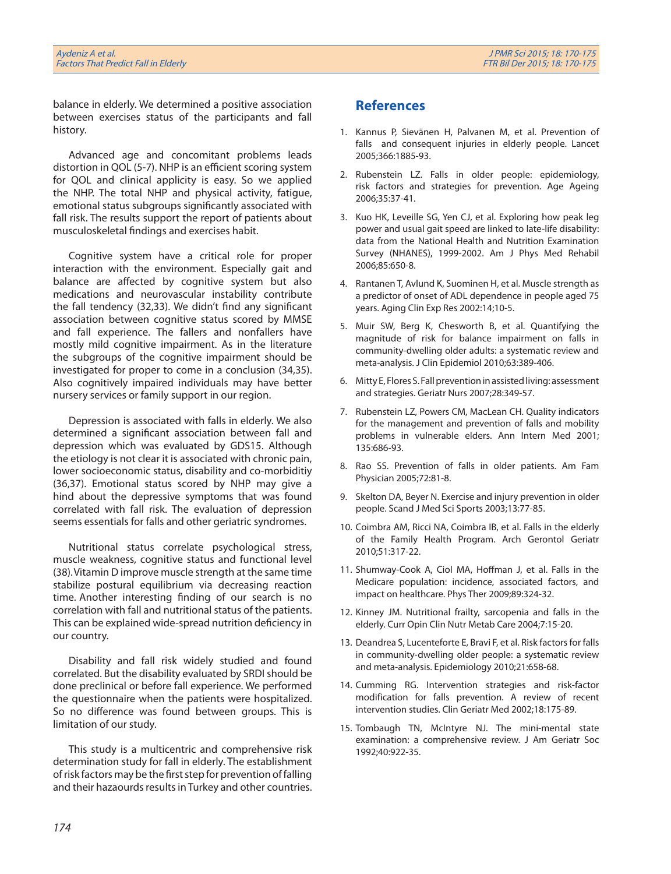balance in elderly. We determined a positive association between exercises status of the participants and fall history.

Advanced age and concomitant problems leads distortion in QOL (5-7). NHP is an efficient scoring system for QOL and clinical applicity is easy. So we applied the NHP. The total NHP and physical activity, fatigue, emotional status subgroups significantly associated with fall risk. The results support the report of patients about musculoskeletal findings and exercises habit.

Cognitive system have a critical role for proper interaction with the environment. Especially gait and balance are affected by cognitive system but also medications and neurovascular instability contribute the fall tendency (32,33). We didn't find any significant association between cognitive status scored by MMSE and fall experience. The fallers and nonfallers have mostly mild cognitive impairment. As in the literature the subgroups of the cognitive impairment should be investigated for proper to come in a conclusion (34,35). Also cognitively impaired individuals may have better nursery services or family support in our region.

Depression is associated with falls in elderly. We also determined a significant association between fall and depression which was evaluated by GDS15. Although the etiology is not clear it is associated with chronic pain, lower socioeconomic status, disability and co-morbiditiy (36,37). Emotional status scored by NHP may give a hind about the depressive symptoms that was found correlated with fall risk. The evaluation of depression seems essentials for falls and other geriatric syndromes.

Nutritional status correlate psychological stress, muscle weakness, cognitive status and functional level (38).Vitamin D improve muscle strength at the same time stabilize postural equilibrium via decreasing reaction time. Another interesting finding of our search is no correlation with fall and nutritional status of the patients. This can be explained wide-spread nutrition deficiency in our country.

Disability and fall risk widely studied and found correlated. But the disability evaluated by SRDI should be done preclinical or before fall experience. We performed the questionnaire when the patients were hospitalized. So no difference was found between groups. This is limitation of our study.

This study is a multicentric and comprehensive risk determination study for fall in elderly. The establishment of risk factors may be the first step for prevention of falling and their hazaourds results in Turkey and other countries.

## **References**

- 1. Kannus P, Sievänen H, Palvanen M, et al. Prevention of falls and consequent injuries in elderly people. Lancet 2005;366:1885-93.
- 2. Rubenstein LZ. Falls in older people: epidemiology, risk factors and strategies for prevention. Age Ageing 2006;35:37-41.
- 3. Kuo HK, Leveille SG, Yen CJ, et al. Exploring how peak leg power and usual gait speed are linked to late-life disability: data from the National Health and Nutrition Examination Survey (NHANES), 1999-2002. Am J Phys Med Rehabil 2006;85:650-8.
- 4. Rantanen T, Avlund K, Suominen H, et al. Muscle strength as a predictor of onset of ADL dependence in people aged 75 years. Aging Clin Exp Res 2002:14;10-5.
- 5. Muir SW, Berg K, Chesworth B, et al. Quantifying the magnitude of risk for balance impairment on falls in community-dwelling older adults: a systematic review and meta-analysis. J Clin Epidemiol 2010;63:389-406.
- 6. Mitty E, Flores S. Fall prevention in assisted living: assessment and strategies. Geriatr Nurs 2007;28:349-57.
- 7. Rubenstein LZ, Powers CM, MacLean CH. Quality indicators for the management and prevention of falls and mobility problems in vulnerable elders. Ann Intern Med 2001; 135:686-93.
- 8. Rao SS. Prevention of falls in older patients. Am Fam Physician 2005;72:81-8.
- 9. Skelton DA, Beyer N. Exercise and injury prevention in older people. Scand J Med Sci Sports 2003;13:77-85.
- 10. Coimbra AM, Ricci NA, Coimbra IB, et al. Falls in the elderly of the Family Health Program. Arch Gerontol Geriatr 2010;51:317-22.
- 11. Shumway-Cook A, Ciol MA, Hoffman J, et al. Falls in the Medicare population: incidence, associated factors, and impact on healthcare. Phys Ther 2009;89:324-32.
- 12. Kinney JM. Nutritional frailty, sarcopenia and falls in the elderly. Curr Opin Clin Nutr Metab Care 2004;7:15-20.
- 13. Deandrea S, Lucenteforte E, Bravi F, et al. Risk factors for falls in community-dwelling older people: a systematic review and meta-analysis. Epidemiology 2010;21:658-68.
- 14. Cumming RG. Intervention strategies and risk-factor modification for falls prevention. A review of recent intervention studies. Clin Geriatr Med 2002;18:175-89.
- 15. Tombaugh TN, McIntyre NJ. The mini-mental state examination: a comprehensive review. J Am Geriatr Soc 1992;40:922-35.